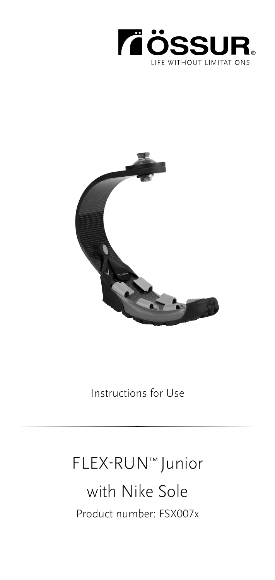



Instructions for Use

# FLEX-RUN™ Junior with Nike Sole Product number: FSX007x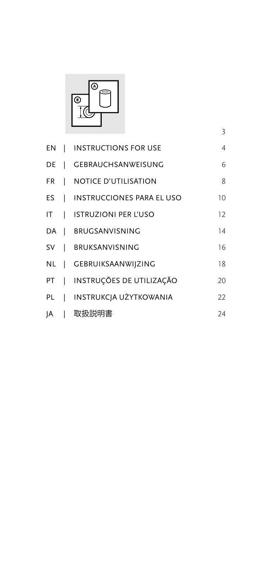

|      |              | EN   INSTRUCTIONS FOR USE        | $\overline{4}$ |
|------|--------------|----------------------------------|----------------|
| DE   | L            | <b>GEBRAUCHSANWEISUNG</b>        | 6              |
| FR I |              | <b>NOTICE D'UTILISATION</b>      | 8              |
| ES.  | $\perp$      | <b>INSTRUCCIONES PARA EL USO</b> | 10             |
| ΙT   |              | <b>I ISTRUZIONI PER L'USO</b>    | 12             |
| DA   |              | <b>I BRUGSANVISNING</b>          | 14             |
| SV   | $\Box$       | <b>BRUKSANVISNING</b>            | 16             |
| NL   |              | GEBRUIKSAANWIJZING               | 18             |
| PT   |              | INSTRUÇÕES DE UTILIZAÇÃO         | 20             |
| PL   | $\mathbf{I}$ | INSTRUKCJA UŻYTKOWANIA           | 22             |
| ١A   |              | 取扱説明書                            | 24             |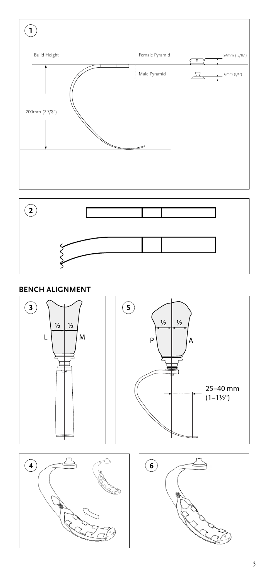<span id="page-2-0"></span>



## **BENCH ALIGNMENT**

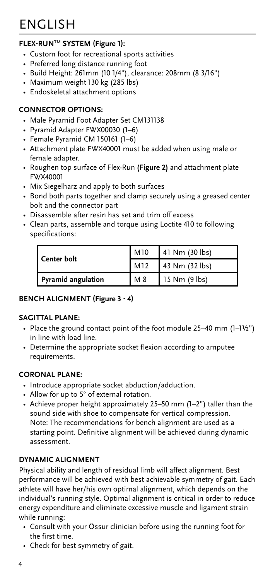### <span id="page-3-0"></span>**FLEX-RUNTM SYSTEM (Figure 1):**

- Custom foot for recreational sports activities
- Preferred long distance running foot
- Build Height: 261mm (10 1/4"), clearance: 208mm (8 3/16")
- Maximum weight 130 kg (285 lbs)
- Endoskeletal attachment options

#### **CONNECTOR OPTIONS:**

- Male Pyramid Foot Adapter Set CM131138
- Pyramid Adapter FWX00030 (1–6)
- Female Pyramid CM 150161 (1–6)
- Attachment plate FWX40001 must be added when using male or female adapter.
- Roughen top surface of Flex-Run **(Figure 2)** and attachment plate FWX40001
- Mix Siegelharz and apply to both surfaces
- Bond both parts together and clamp securely using a greased center bolt and the connector part
- Disassemble after resin has set and trim off excess
- Clean parts, assemble and torque using Loctite 410 to following specifications:

| Center bolt               | M10 | 141 Nm (30 lbs)   |
|---------------------------|-----|-------------------|
|                           | M12 | $143$ Nm (32 lbs) |
| <b>Pyramid angulation</b> | M 8 | 15 Nm (9 lbs)     |

#### **BENCH ALIGNMENT (Figure 3 - 4)**

#### **SAGITTAL PLANE:**

- Place the ground contact point of the foot module 25–40 mm (1–1½") in line with load line.
- Determine the appropriate socket flexion according to amputee requirements.

#### **CORONAL PLANE:**

- Introduce appropriate socket abduction/adduction.
- Allow for up to 5° of external rotation.
- Achieve proper height approximately 25–50 mm (1–2") taller than the sound side with shoe to compensate for vertical compression. Note: The recommendations for bench alignment are used as a starting point. Definitive alignment will be achieved during dynamic assessment.

#### **DYNAMIC ALIGNMENT**

Physical ability and length of residual limb will affect alignment. Best performance will be achieved with best achievable symmetry of gait. Each athlete will have her/his own optimal alignment, which depends on the individual's running style. Optimal alignment is critical in order to reduce energy expenditure and eliminate excessive muscle and ligament strain while running:

- Consult with your Össur clinician before using the running foot for the first time.
- Check for best symmetry of gait.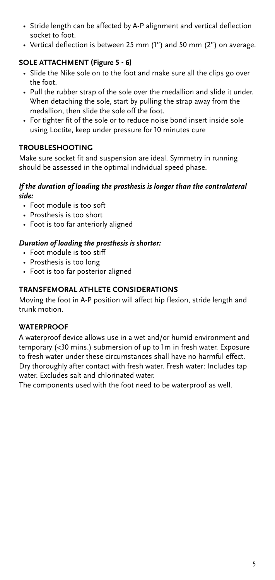- Stride length can be affected by A-P alignment and vertical deflection socket to foot.
- Vertical deflection is between 25 mm (1") and 50 mm (2") on average.

#### **SOLE ATTACHMENT (Figure 5 - 6)**

- Slide the Nike sole on to the foot and make sure all the clips go over the foot.
- Pull the rubber strap of the sole over the medallion and slide it under. When detaching the sole, start by pulling the strap away from the medallion, then slide the sole off the foot.
- For tighter fit of the sole or to reduce noise bond insert inside sole using Loctite, keep under pressure for 10 minutes cure

#### **TROUBLESHOOTING**

Make sure socket fit and suspension are ideal. Symmetry in running should be assessed in the optimal individual speed phase.

#### *If the duration of loading the prosthesis is longer than the contralateral side:*

- Foot module is too soft
- Prosthesis is too short
- Foot is too far anteriorly aligned

### *Duration of loading the prosthesis is shorter:*

- Foot module is too stiff
- Prosthesis is too long
- Foot is too far posterior aligned

#### **TRANSFEMORAL ATHLETE CONSIDERATIONS**

Moving the foot in A-P position will affect hip flexion, stride length and trunk motion.

#### **WATERPROOF**

A waterproof device allows use in a wet and/or humid environment and temporary (<30 mins.) submersion of up to 1m in fresh water. Exposure to fresh water under these circumstances shall have no harmful effect. Dry thoroughly after contact with fresh water. Fresh water: Includes tap water. Excludes salt and chlorinated water.

The components used with the foot need to be waterproof as well.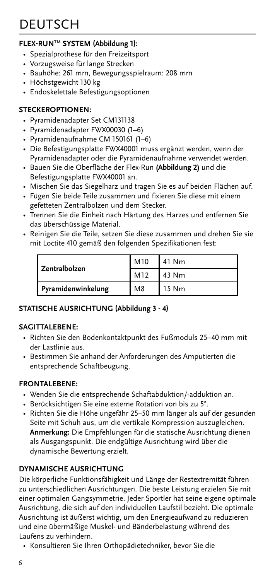# <span id="page-5-0"></span>**DEUTSCH**

### **FLEX-RUNTM SYSTEM (Abbildung 1):**

- Spezialprothese für den Freizeitsport
- Vorzugsweise für lange Strecken
- Bauhöhe: 261 mm, Bewegungsspielraum: 208 mm
- Höchstgewicht 130 kg
- Endoskelettale Befestigungsoptionen

#### **STECKEROPTIONEN:**

- Pyramidenadapter Set CM131138
- Pyramidenadapter FWX00030 (1–6)
- Pyramidenaufnahme CM 150161 (1–6)
- Die Befestigungsplatte FWX40001 muss ergänzt werden, wenn der Pyramidenadapter oder die Pyramidenaufnahme verwendet werden.
- Bauen Sie die Oberfläche der Flex-Run **(Abbildung 2)** und die Befestigungsplatte FWX40001 an.
- Mischen Sie das Siegelharz und tragen Sie es auf beiden Flächen auf.
- Fügen Sie beide Teile zusammen und fixieren Sie diese mit einem gefetteten Zentralbolzen und dem Stecker.
- Trennen Sie die Einheit nach Härtung des Harzes und entfernen Sie das überschüssige Material.
- Reinigen Sie die Teile, setzen Sie diese zusammen und drehen Sie sie mit Loctite 410 gemäß den folgenden Spezifikationen fest:

| Zentralbolzen      | M10            | 41 Nm |
|--------------------|----------------|-------|
|                    | M12            | 43 Nm |
| Pyramidenwinkelung | M <sub>8</sub> | 15 Nm |

#### **STATISCHE AUSRICHTUNG (Abbildung 3 - 4)**

#### **SAGITTALEBENE:**

- Richten Sie den Bodenkontaktpunkt des Fußmoduls 25–40 mm mit der Lastlinie aus.
- Bestimmen Sie anhand der Anforderungen des Amputierten die entsprechende Schaftbeugung.

#### **FRONTALEBENE:**

- Wenden Sie die entsprechende Schaftabduktion/-adduktion an.
- Berücksichtigen Sie eine externe Rotation von bis zu 5°.
- Richten Sie die Höhe ungefähr 25–50 mm länger als auf der gesunden Seite mit Schuh aus, um die vertikale Kompression auszugleichen. **Anmerkung:** Die Empfehlungen für die statische Ausrichtung dienen als Ausgangspunkt. Die endgültige Ausrichtung wird über die dynamische Bewertung erzielt.

#### **DYNAMISCHE AUSRICHTUNG**

Die körperliche Funktionsfähigkeit und Länge der Restextremität führen zu unterschiedlichen Ausrichtungen. Die beste Leistung erzielen Sie mit einer optimalen Gangsymmetrie. Jeder Sportler hat seine eigene optimale Ausrichtung, die sich auf den individuellen Laufstil bezieht. Die optimale Ausrichtung ist äußerst wichtig, um den Energieaufwand zu reduzieren und eine übermäßige Muskel- und Bänderbelastung während des Laufens zu verhindern.

• Konsultieren Sie Ihren Orthopädietechniker, bevor Sie die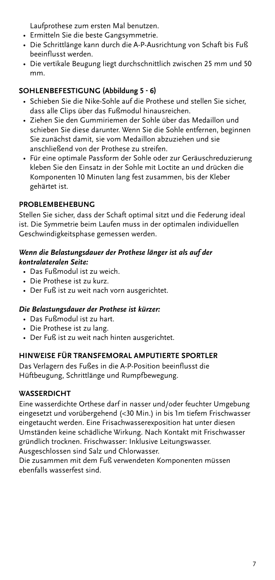Laufprothese zum ersten Mal benutzen.

- Ermitteln Sie die beste Gangsymmetrie.
- Die Schrittlänge kann durch die A-P-Ausrichtung von Schaft bis Fuß beeinflusst werden.
- Die vertikale Beugung liegt durchschnittlich zwischen 25 mm und 50 mm.

### **SOHLENBEFESTIGUNG (Abbildung 5 - 6)**

- Schieben Sie die Nike-Sohle auf die Prothese und stellen Sie sicher, dass alle Clips über das Fußmodul hinausreichen.
- Ziehen Sie den Gummiriemen der Sohle über das Medaillon und schieben Sie diese darunter. Wenn Sie die Sohle entfernen, beginnen Sie zunächst damit, sie vom Medaillon abzuziehen und sie anschließend von der Prothese zu streifen.
- Für eine optimale Passform der Sohle oder zur Geräuschreduzierung kleben Sie den Einsatz in der Sohle mit Loctite an und drücken die Komponenten 10 Minuten lang fest zusammen, bis der Kleber gehärtet ist.

#### **PROBLEMBEHEBUNG**

Stellen Sie sicher, dass der Schaft optimal sitzt und die Federung ideal ist. Die Symmetrie beim Laufen muss in der optimalen individuellen Geschwindigkeitsphase gemessen werden.

#### *Wenn die Belastungsdauer der Prothese länger ist als auf der kontralateralen Seite:*

- Das Fußmodul ist zu weich.
- Die Prothese ist zu kurz.
- Der Fuß ist zu weit nach vorn ausgerichtet.

#### *Die Belastungsdauer der Prothese ist kürzer:*

- Das Fußmodul ist zu hart.
- Die Prothese ist zu lang.
- Der Fuß ist zu weit nach hinten ausgerichtet.

#### **HINWEISE FÜR TRANSFEMORAL AMPUTIERTE SPORTLER**

Das Verlagern des Fußes in die A-P-Position beeinflusst die Hüftbeugung, Schrittlänge und Rumpfbewegung.

#### **WASSERDICHT**

Eine wasserdichte Orthese darf in nasser und/oder feuchter Umgebung eingesetzt und vorübergehend (<30 Min.) in bis 1m tiefem Frischwasser eingetaucht werden. Eine Frisachwasserexposition hat unter diesen Umständen keine schädliche Wirkung. Nach Kontakt mit Frischwasser gründlich trocknen. Frischwasser: Inklusive Leitungswasser. Ausgeschlossen sind Salz und Chlorwasser.

Die zusammen mit dem Fuß verwendeten Komponenten müssen ebenfalls wasserfest sind.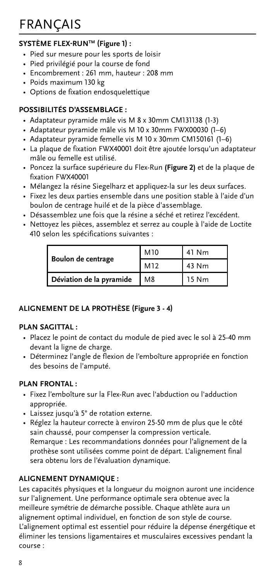# <span id="page-7-0"></span>FRANÇAIS

## **SYSTÈME FLEX-RUNTM (Figure 1) :**

- Pied sur mesure pour les sports de loisir
- Pied privilégié pour la course de fond
- Encombrement : 261 mm, hauteur : 208 mm
- Poids maximum 130 kg
- Options de fixation endosquelettique

#### **POSSIBILITÉS D'ASSEMBLAGE :**

- Adaptateur pyramide mâle vis M 8 x 30mm CM131138 (1-3)
- Adaptateur pyramide mâle vis M 10 x 30mm FWX00030 (1–6)
- Adaptateur pyramide femelle vis M 10 x 30mm CM150161 (1–6)
- La plaque de fixation FWX40001 doit être ajoutée lorsqu'un adaptateur mâle ou femelle est utilisé.
- Poncez la surface supérieure du Flex-Run **(Figure 2)** et de la plaque de fixation FWX40001
- Mélangez la résine Siegelharz et appliquez-la sur les deux surfaces.
- Fixez les deux parties ensemble dans une position stable à l'aide d'un boulon de centrage huilé et de la pièce d'assemblage.
- Désassemblez une fois que la résine a séché et retirez l'excédent.
- Nettoyez les pièces, assemblez et serrez au couple à l'aide de Loctite 410 selon les spécifications suivantes :

|                          | M10 | 41 Nm |
|--------------------------|-----|-------|
| Boulon de centrage       | M12 | 43 Nm |
| Déviation de la pyramide | M8  | 15 Nm |

#### **ALIGNEMENT DE LA PROTHÈSE (Figure 3 - 4)**

#### **PLAN SAGITTAL :**

- Placez le point de contact du module de pied avec le sol à 25-40 mm devant la ligne de charge.
- Déterminez l'angle de flexion de l'emboîture appropriée en fonction des besoins de l'amputé.

### **PLAN FRONTAL :**

- Fixez l'emboîture sur la Flex-Run avec l'abduction ou l'adduction appropriée.
- Laissez jusqu'à 5° de rotation externe.
- Réglez la hauteur correcte à environ 25-50 mm de plus que le côté sain chaussé, pour compenser la compression verticale. Remarque : Les recommandations données pour l'alignement de la prothèse sont utilisées comme point de départ. L'alignement final sera obtenu lors de l'évaluation dynamique.

#### **ALIGNEMENT DYNAMIQUE :**

Les capacités physiques et la longueur du moignon auront une incidence sur l'alignement. Une performance optimale sera obtenue avec la meilleure symétrie de démarche possible. Chaque athlète aura un alignement optimal individuel, en fonction de son style de course. L'alignement optimal est essentiel pour réduire la dépense énergétique et éliminer les tensions ligamentaires et musculaires excessives pendant la course :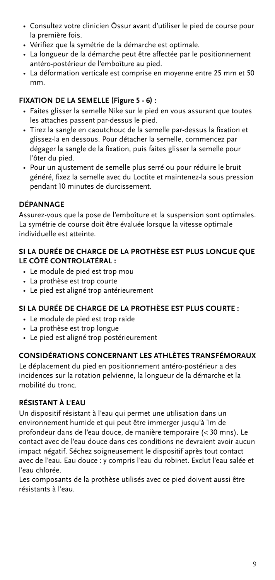- Consultez votre clinicien Össur avant d'utiliser le pied de course pour la première fois.
- Vérifiez que la symétrie de la démarche est optimale.
- La longueur de la démarche peut être affectée par le positionnement antéro-postérieur de l'emboîture au pied.
- La déformation verticale est comprise en moyenne entre 25 mm et 50 mm.

## **FIXATION DE LA SEMELLE (Figure 5 - 6) :**

- Faites glisser la semelle Nike sur le pied en vous assurant que toutes les attaches passent par-dessus le pied.
- Tirez la sangle en caoutchouc de la semelle par-dessus la fixation et glissez-la en dessous. Pour détacher la semelle, commencez par dégager la sangle de la fixation, puis faites glisser la semelle pour l'ôter du pied.
- Pour un ajustement de semelle plus serré ou pour réduire le bruit généré, fixez la semelle avec du Loctite et maintenez-la sous pression pendant 10 minutes de durcissement.

#### **DÉPANNAGE**

Assurez-vous que la pose de l'emboîture et la suspension sont optimales. La symétrie de course doit être évaluée lorsque la vitesse optimale individuelle est atteinte.

#### **SI LA DURÉE DE CHARGE DE LA PROTHÈSE EST PLUS LONGUE QUE LE CÔTÉ CONTROLATÉRAL :**

- Le module de pied est trop mou
- La prothèse est trop courte
- Le pied est aligné trop antérieurement

#### **SI LA DURÉE DE CHARGE DE LA PROTHÈSE EST PLUS COURTE :**

- Le module de pied est trop raide
- La prothèse est trop longue
- Le pied est aligné trop postérieurement

#### **CONSIDÉRATIONS CONCERNANT LES ATHLÈTES TRANSFÉMORAUX**

Le déplacement du pied en positionnement antéro-postérieur a des incidences sur la rotation pelvienne, la longueur de la démarche et la mobilité du tronc.

## **RÉSISTANT À L'EAU**

Un dispositif résistant à l'eau qui permet une utilisation dans un environnement humide et qui peut être immerger jusqu'à 1m de profondeur dans de l'eau douce, de manière temporaire (< 30 mns). Le contact avec de l'eau douce dans ces conditions ne devraient avoir aucun impact négatif. Séchez soigneusement le dispositif après tout contact avec de l'eau. Eau douce : y compris l'eau du robinet. Exclut l'eau salée et l'eau chlorée.

Les composants de la prothèse utilisés avec ce pied doivent aussi être résistants à l'eau.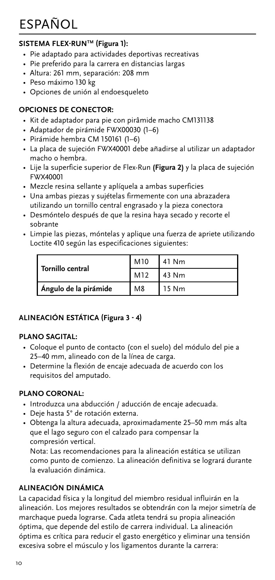# <span id="page-9-0"></span>ESPAÑOL

# **SISTEMA FLEX-RUNTM (Figura 1):**

- Pie adaptado para actividades deportivas recreativas
- Pie preferido para la carrera en distancias largas
- Altura: 261 mm, separación: 208 mm
- Peso máximo 130 kg
- Opciones de unión al endoesqueleto

# **OPCIONES DE CONECTOR:**

- Kit de adaptador para pie con pirâmide macho CM131138
- Adaptador de pirámide FWX00030 (1–6)
- Pirámide hembra CM 150161 (1–6)
- La placa de sujeción FWX40001 debe añadirse al utilizar un adaptador macho o hembra.
- Lije la superficie superior de Flex-Run **(Figura 2)** y la placa de sujeción FWX40001
- Mezcle resina sellante y aplíquela a ambas superficies
- Una ambas piezas y sujételas firmemente con una abrazadera utilizando un tornillo central engrasado y la pieza conectora
- Desmóntelo después de que la resina haya secado y recorte el sobrante
- Limpie las piezas, móntelas y aplique una fuerza de apriete utilizando Loctite 410 según las especificaciones siguientes:

| Tornillo central      | M10            | 41 Nm |
|-----------------------|----------------|-------|
|                       | M12            | 43 Nm |
| Ángulo de la pirámide | M <sub>8</sub> | 15 Nm |

# **ALINEACIÓN ESTÁTICA (Figura 3 - 4)**

# **PLANO SAGITAL:**

- Coloque el punto de contacto (con el suelo) del módulo del pie a 25–40 mm, alineado con de la línea de carga.
- Determine la flexión de encaje adecuada de acuerdo con los requisitos del amputado.

# **PLANO CORONAL:**

- Introduzca una abducción / aducción de encaje adecuada.
- Deje hasta 5° de rotación externa.
- Obtenga la altura adecuada, aproximadamente 25–50 mm más alta que el lago seguro con el calzado para compensar la compresión vertical.

Nota: Las recomendaciones para la alineación estática se utilizan como punto de comienzo. La alineación definitiva se logrará durante la evaluación dinámica.

# **ALINEACIÓN DINÁMICA**

La capacidad física y la longitud del miembro residual influirán en la alineación. Los mejores resultados se obtendrán con la mejor simetría de marchaque pueda lograrse. Cada atleta tendrá su propia alineación óptima, que depende del estilo de carrera individual. La alineación óptima es crítica para reducir el gasto energético y eliminar una tensión excesiva sobre el músculo y los ligamentos durante la carrera: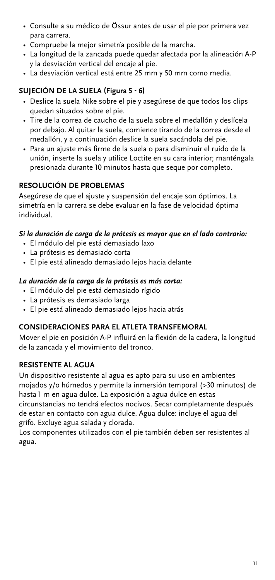- Consulte a su médico de Össur antes de usar el pie por primera vez para carrera.
- Compruebe la mejor simetría posible de la marcha.
- La longitud de la zancada puede quedar afectada por la alineación A-P y la desviación vertical del encaje al pie.
- La desviación vertical está entre 25 mm y 50 mm como media.

#### **SUJECIÓN DE LA SUELA (Figura 5 - 6)**

- Deslice la suela Nike sobre el pie y asegúrese de que todos los clips quedan situados sobre el pie.
- Tire de la correa de caucho de la suela sobre el medallón y deslícela por debajo. Al quitar la suela, comience tirando de la correa desde el medallón, y a continuación deslice la suela sacándola del pie.
- Para un ajuste más firme de la suela o para disminuir el ruido de la unión, inserte la suela y utilice Loctite en su cara interior; manténgala presionada durante 10 minutos hasta que seque por completo.

#### **RESOLUCIÓN DE PROBLEMAS**

Asegúrese de que el ajuste y suspensión del encaje son óptimos. La simetría en la carrera se debe evaluar en la fase de velocidad óptima individual.

#### *Si la duración de carga de la prótesis es mayor que en el lado contrario:*

- El módulo del pie está demasiado laxo
- La prótesis es demasiado corta
- El pie está alineado demasiado lejos hacia delante

#### *La duración de la carga de la prótesis es más corta:*

- El módulo del pie está demasiado rígido
- La prótesis es demasiado larga
- El pie está alineado demasiado lejos hacia atrás

#### **CONSIDERACIONES PARA EL ATLETA TRANSFEMORAL**

Mover el pie en posición A-P influirá en la flexión de la cadera, la longitud de la zancada y el movimiento del tronco.

#### **RESISTENTE AL AGUA**

Un dispositivo resistente al agua es apto para su uso en ambientes mojados y/o húmedos y permite la inmersión temporal (>30 minutos) de hasta 1 m en agua dulce. La exposición a agua dulce en estas circunstancias no tendrá efectos nocivos. Secar completamente después

de estar en contacto con agua dulce. Agua dulce: incluye el agua del grifo. Excluye agua salada y clorada.

Los componentes utilizados con el pie también deben ser resistentes al agua.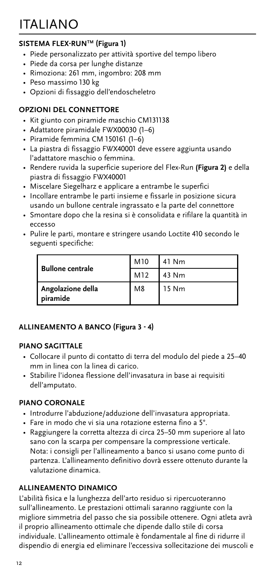# <span id="page-11-0"></span>ITALIANO

## **SISTEMA FLEX-RUNTM (Figura 1)**

- Piede personalizzato per attività sportive del tempo libero
- Piede da corsa per lunghe distanze
- Rimoziona: 261 mm, ingombro: 208 mm
- Peso massimo 130 kg
- Opzioni di fissaggio dell'endoscheletro

#### **OPZIONI DEL CONNETTORE**

- Kit giunto con piramide maschio CM131138
- Adattatore piramidale FWX00030 (1–6)
- Piramide femmina CM 150161 (1–6)
- La piastra di fissaggio FWX40001 deve essere aggiunta usando l'adattatore maschio o femmina.
- Rendere ruvida la superficie superiore del Flex-Run **(Figura 2)** e della piastra di fissaggio FWX40001
- Miscelare Siegelharz e applicare a entrambe le superfici
- Incollare entrambe le parti insieme e fissarle in posizione sicura usando un bullone centrale ingrassato e la parte del connettore
- Smontare dopo che la resina si è consolidata e rifilare la quantità in eccesso
- Pulire le parti, montare e stringere usando Loctite 410 secondo le seguenti specifiche:

| <b>Bullone centrale</b>       | M10            | 41 Nm |
|-------------------------------|----------------|-------|
|                               | M12            | 43 Nm |
| Angolazione della<br>piramide | M <sub>8</sub> | 15 Nm |

#### **ALLINEAMENTO A BANCO (Figura 3 - 4)**

#### **PIANO SAGITTALE**

- Collocare il punto di contatto di terra del modulo del piede a 25–40 mm in linea con la linea di carico.
- Stabilire l'idonea flessione dell'invasatura in base ai requisiti dell'amputato.

#### **PIANO CORONALE**

- Introdurre l'abduzione/adduzione dell'invasatura appropriata.
- Fare in modo che vi sia una rotazione esterna fino a 5°.
- Raggiungere la corretta altezza di circa 25–50 mm superiore al lato sano con la scarpa per compensare la compressione verticale. Nota: i consigli per l'allineamento a banco si usano come punto di partenza. L'allineamento definitivo dovrà essere ottenuto durante la valutazione dinamica.

#### **ALLINEAMENTO DINAMICO**

L'abilità fisica e la lunghezza dell'arto residuo si ripercuoteranno sull'allineamento. Le prestazioni ottimali saranno raggiunte con la migliore simmetria del passo che sia possibile ottenere. Ogni atleta avrà il proprio allineamento ottimale che dipende dallo stile di corsa individuale. L'allineamento ottimale è fondamentale al fine di ridurre il dispendio di energia ed eliminare l'eccessiva sollecitazione dei muscoli e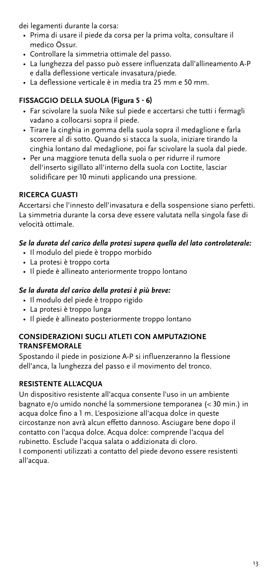dei legamenti durante la corsa:

- Prima di usare il piede da corsa per la prima volta, consultare il medico Össur.
- Controllare la simmetria ottimale del passo.
- La lunghezza del passo può essere influenzata dall'allineamento A-P e dalla deflessione verticale invasatura/piede.
- La deflessione verticale è in media tra 25 mm e 50 mm.

## **FISSAGGIO DELLA SUOLA (Figura 5 - 6)**

- Far scivolare la suola Nike sul piede e accertarsi che tutti i fermagli vadano a collocarsi sopra il piede.
- Tirare la cinghia in gomma della suola sopra il medaglione e farla scorrere al di sotto. Quando si stacca la suola, iniziare tirando la cinghia lontano dal medaglione, poi far scivolare la suola dal piede.
- Per una maggiore tenuta della suola o per ridurre il rumore dell'inserto sigillato all'interno della suola con Loctite, lasciar solidificare per 10 minuti applicando una pressione.

## **RICERCA GUASTI**

Accertarsi che l'innesto dell'invasatura e della sospensione siano perfetti. La simmetria durante la corsa deve essere valutata nella singola fase di velocità ottimale.

#### *Se la durata del carico della protesi supera quella del lato controlaterale:*

- Il modulo del piede è troppo morbido
- La protesi è troppo corta
- Il piede è allineato anteriormente troppo lontano

#### *Se la durata del carico della protesi è più breve:*

- Il modulo del piede è troppo rigido
- La protesi è troppo lunga
- Il piede è allineato posteriormente troppo lontano

#### **CONSIDERAZIONI SUGLI ATLETI CON AMPUTAZIONE TRANSFEMORALE**

Spostando il piede in posizione A-P si influenzeranno la flessione dell'anca, la lunghezza del passo e il movimento del tronco.

#### **RESISTENTE ALL'ACQUA**

Un dispositivo resistente all'acqua consente l'uso in un ambiente bagnato e/o umido nonché la sommersione temporanea (< 30 min.) in acqua dolce fino a 1 m. L'esposizione all'acqua dolce in queste circostanze non avrà alcun effetto dannoso. Asciugare bene dopo il contatto con l'acqua dolce. Acqua dolce: comprende l'acqua del rubinetto. Esclude l'acqua salata o addizionata di cloro.

I componenti utilizzati a contatto del piede devono essere resistenti all'acqua.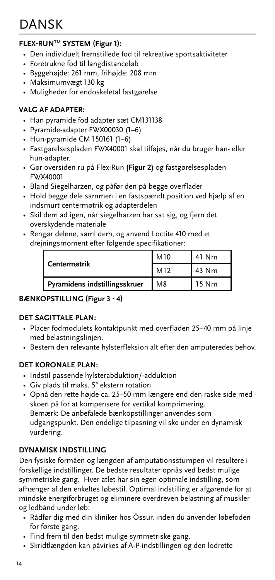#### <span id="page-13-0"></span>**FLEX-RUNTM SYSTEM (Figur 1):**

- Den individuelt fremstillede fod til rekreative sportsaktiviteter
- Foretrukne fod til langdistanceløb
- Byggehøjde: 261 mm, frihøjde: 208 mm
- Maksimumvægt 130 kg
- Muligheder for endoskeletal fastgørelse

#### **VALG AF ADAPTER:**

- Han pyramide fod adapter sæt CM131138
- Pyramide-adapter FWX00030 (1–6)
- Hun-pyramide CM 150161 (1–6)
- Fastgørelsespladen FWX40001 skal tilføjes, når du bruger han- eller hun-adapter.
- Gør oversiden ru på Flex-Run **(Figur 2)** og fastgørelsespladen FWX40001
- Bland Siegelharzen, og påfør den på begge overflader
- Hold begge dele sammen i en fastspændt position ved hjælp af en indsmurt centermøtrik og adapterdelen
- Skil dem ad igen, når siegelharzen har sat sig, og fjern det overskydende materiale
- Rengør delene, saml dem, og anvend Loctite 410 med et drejningsmoment efter følgende specifikationer:

| Centermøtrik                  | M <sub>10</sub> | 41 Nm |
|-------------------------------|-----------------|-------|
|                               | M <sub>12</sub> | 43 Nm |
| Pyramidens indstillingsskruer | M8              | 15 Nm |

#### **BÆNKOPSTILLING (Figur 3 - 4)**

#### **DET SAGITTALE PLAN:**

- Placer fodmodulets kontaktpunkt med overfladen 25–40 mm på linje med belastningslinjen.
- Bestem den relevante hylsterfleksion alt efter den amputeredes behov.

#### **DET KORONALE PLAN:**

- Indstil passende hylsterabduktion/-adduktion
- Giv plads til maks. 5° ekstern rotation.
- Opnå den rette højde ca. 25–50 mm længere end den raske side med skoen på for at kompensere for vertikal komprimering. Bemærk: De anbefalede bænkopstillinger anvendes som udgangspunkt. Den endelige tilpasning vil ske under en dynamisk vurdering.

#### **DYNAMISK INDSTILLING**

Den fysiske formåen og længden af amputationsstumpen vil resultere i forskellige indstillinger. De bedste resultater opnås ved bedst mulige symmetriske gang. Hver atlet har sin egen optimale indstilling, som afhænger af den enkeltes løbestil. Optimal indstilling er afgørende for at mindske energiforbruget og eliminere overdreven belastning af muskler og ledbånd under løb:

- Rådfør dig med din kliniker hos Össur, inden du anvender løbefoden for første gang.
- Find frem til den bedst mulige symmetriske gang.
- Skridtlængden kan påvirkes af A-P-indstillingen og den lodrette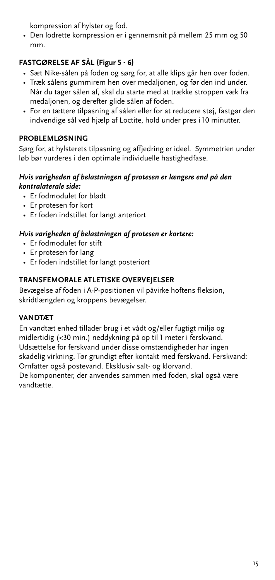kompression af hylster og fod.

• Den lodrette kompression er i gennemsnit på mellem 25 mm og 50 mm.

## **FASTGØRELSE AF SÅL (Figur 5 - 6)**

- Sæt Nike-sålen på foden og sørg for, at alle klips går hen over foden.
- Træk sålens gummirem hen over medaljonen, og før den ind under. Når du tager sålen af, skal du starte med at trække stroppen væk fra medaljonen, og derefter glide sålen af foden.
- For en tættere tilpasning af sålen eller for at reducere støj, fastgør den indvendige sål ved hjælp af Loctite, hold under pres i 10 minutter.

### **PROBLEMLØSNING**

Sørg for, at hylsterets tilpasning og affjedring er ideel. Symmetrien under løb bør vurderes i den optimale individuelle hastighedfase.

#### *Hvis varigheden af belastningen af protesen er længere end på den kontralaterale side:*

- Er fodmodulet for blødt
- Er protesen for kort
- Er foden indstillet for langt anteriort

#### *Hvis varigheden af belastningen af protesen er kortere:*

- Er fodmodulet for stift
- Er protesen for lang
- Er foden indstillet for langt posteriort

#### **TRANSFEMORALE ATLETISKE OVERVEJELSER**

Bevægelse af foden i A-P-positionen vil påvirke hoftens fleksion, skridtlængden og kroppens bevægelser.

#### **VANDTÆT**

En vandtæt enhed tillader brug i et vådt og/eller fugtigt miljø og midlertidig (<30 min.) neddykning på op til 1 meter i ferskvand. Udsættelse for ferskvand under disse omstændigheder har ingen skadelig virkning. Tør grundigt efter kontakt med ferskvand. Ferskvand: Omfatter også postevand. Eksklusiv salt- og klorvand.

De komponenter, der anvendes sammen med foden, skal også være vandtætte.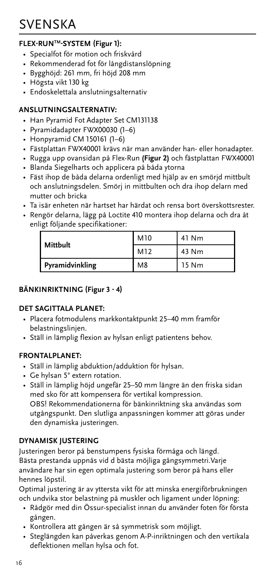# <span id="page-15-0"></span>SVENSKA

### **FLEX-RUNTM-SYSTEM (Figur 1):**

- Specialfot för motion och friskvård
- Rekommenderad fot för långdistanslöpning
- Bygghöjd: 261 mm, fri höjd 208 mm
- Högsta vikt 130 kg
- Endoskelettala anslutningsalternativ

#### **ANSLUTNINGSALTERNATIV:**

- Han Pyramid Fot Adapter Set CM131138
- Pyramidadapter FWX00030 (1–6)
- Honpyramid CM 150161 (1–6)
- Fästplattan FWX40001 krävs när man använder han- eller honadapter.
- Rugga upp ovansidan på Flex-Run **(Figur 2)** och fästplattan FWX40001
- Blanda Siegelharts och applicera på båda ytorna
- Fäst ihop de båda delarna ordenligt med hjälp av en smörjd mittbult och anslutningsdelen. Smörj in mittbulten och dra ihop delarn med mutter och bricka
- Ta isär enheten när hartset har härdat och rensa bort överskottsrester.
- Rengör delarna, lägg på Loctite 410 montera ihop delarna och dra åt enligt följande specifikationer:

| Mittbult        | M10            | 41 Nm |
|-----------------|----------------|-------|
|                 | M12            | 43 Nm |
| Pyramidvinkling | M <sub>8</sub> | 15 Nm |

#### **BÄNKINRIKTNING (Figur 3 - 4)**

#### **DET SAGITTALA PLANET:**

- Placera fotmodulens markkontaktpunkt 25–40 mm framför belastningslinjen.
- Ställ in lämplig flexion av hylsan enligt patientens behov.

#### **FRONTALPLANET:**

- Ställ in lämplig abduktion/adduktion för hylsan.
- Ge hylsan 5° extern rotation.
- Ställ in lämplig höjd ungefär 25–50 mm längre än den friska sidan med sko för att kompensera för vertikal kompression. OBS! Rekommendationerna för bänkinriktning ska användas som utgångspunkt. Den slutliga anpassningen kommer att göras under den dynamiska justeringen.

#### **DYNAMISK JUSTERING**

Justeringen beror på benstumpens fysiska förmåga och längd. Bästa prestanda uppnås vid d bästa möjliga gångsymmetri.Varje användare har sin egen optimala justering som beror på hans eller hennes löpstil.

Optimal justering är av yttersta vikt för att minska energiförbrukningen och undvika stor belastning på muskler och ligament under löpning:

- Rådgör med din Össur-specialist innan du använder foten för första gången.
- Kontrollera att gången är så symmetrisk som möjligt.
- Steglängden kan påverkas genom A-P-inriktningen och den vertikala deflektionen mellan hylsa och fot.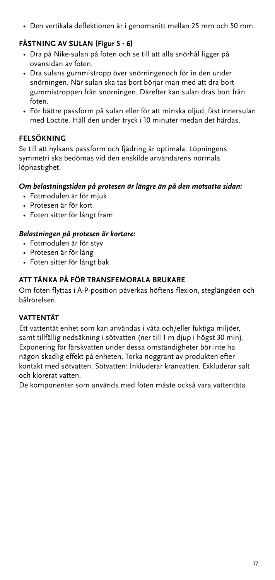• Den vertikala deflektionen är i genomsnitt mellan 25 mm och 50 mm.

#### **FÄSTNING AV SULAN (Figur 5 - 6)**

- Dra på Nike-sulan på foten och se till att alla snörhål ligger på ovansidan av foten.
- Dra sulans gummistropp över snörningenoch för in den under snörningen. När sulan ska tas bort börjar man med att dra bort gummistroppen från snörningen. Därefter kan sulan dras bort från foten.
- För bättre passform på sulan eller för att minska oljud, fäst innersulan med Loctite. Håll den under tryck i 10 minuter medan det härdas.

#### **FELSÖKNING**

Se till att hylsans passform och fjädring är optimala. Löpningens symmetri ska bedömas vid den enskilde användarens normala löphastighet.

#### *Om belastningstiden på protesen är längre än på den motsatta sidan:*

- Fotmodulen är för mjuk
- Protesen är för kort
- Foten sitter för långt fram

#### *Belastningen på protesen är kortare:*

- Fotmodulen är för styv
- Protesen är för lång
- Foten sitter för långt bak

#### **ATT TÄNKA PÅ FÖR TRANSFEMORALA BRUKARE**

Om foten flyttas i A-P-position påverkas höftens flexion, steglängden och bålrörelsen.

#### **VATTENTÄT**

Ett vattentät enhet som kan användas i våta och/eller fuktiga miljöer, samt tillfällig nedsäkning i sötvatten (ner till 1 m djup i högst 30 min). Exponering för färskvatten under dessa omständigheter bör inte ha någon skadlig effekt på enheten. Torka noggrant av produkten efter kontakt med sötvatten. Sötvatten: Inkluderar kranvatten. Exkluderar salt och klorerat vatten.

De komponenter som används med foten måste också vara vattentäta.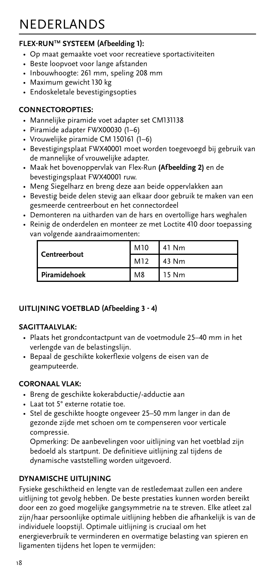# <span id="page-17-0"></span>NEDERLANDS

## **FLEX-RUNTM SYSTEEM (Afbeelding 1):**

- Op maat gemaakte voet voor recreatieve sportactiviteiten
- Beste loopvoet voor lange afstanden
- Inbouwhoogte: 261 mm, speling 208 mm
- Maximum gewicht 130 kg
- Endoskeletale bevestigingsopties

#### **CONNECTOROPTIES:**

- Mannelijke piramide voet adapter set CM131138
- Piramide adapter FWX00030 (1–6)
- Vrouwelijke piramide CM 150161 (1–6)
- Bevestigingsplaat FWX40001 moet worden toegevoegd bij gebruik van de mannelijke of vrouwelijke adapter.
- Maak het bovenoppervlak van Flex-Run **(Afbeelding 2)** en de bevestigingsplaat FWX40001 ruw.
- Meng Siegelharz en breng deze aan beide oppervlakken aan
- Bevestig beide delen stevig aan elkaar door gebruik te maken van een gesmeerde centreerbout en het connectordeel
- Demonteren na uitharden van de hars en overtollige hars weghalen
- Reinig de onderdelen en monteer ze met Loctite 410 door toepassing van volgende aandraaimomenten:

|              | M10            | 41 Nm |
|--------------|----------------|-------|
| Centreerbout | M12            | 43 Nm |
| Piramidehoek | M <sub>8</sub> | 15 Nm |

#### **UITLIJNING VOETBLAD (Afbeelding 3 - 4)**

#### **SAGITTAALVLAK:**

- Plaats het grondcontactpunt van de voetmodule 25–40 mm in het verlengde van de belastingslijn.
- Bepaal de geschikte kokerflexie volgens de eisen van de geamputeerde.

### **CORONAAL VLAK:**

- Breng de geschikte kokerabductie/-adductie aan
- Laat tot 5° externe rotatie toe.
- Stel de geschikte hoogte ongeveer 25–50 mm langer in dan de gezonde zijde met schoen om te compenseren voor verticale compressie.

Opmerking: De aanbevelingen voor uitlijning van het voetblad zijn bedoeld als startpunt. De definitieve uitlijning zal tijdens de dynamische vaststelling worden uitgevoerd.

#### **DYNAMISCHE UITLIJNING**

Fysieke geschiktheid en lengte van de restledemaat zullen een andere uitlijning tot gevolg hebben. De beste prestaties kunnen worden bereikt door een zo goed mogelijke gangsymmetrie na te streven. Elke atleet zal zijn/haar persoonlijke optimale uitlijning hebben die afhankelijk is van de individuele loopstijl. Optimale uitlijning is cruciaal om het energieverbruik te verminderen en overmatige belasting van spieren en ligamenten tijdens het lopen te vermijden: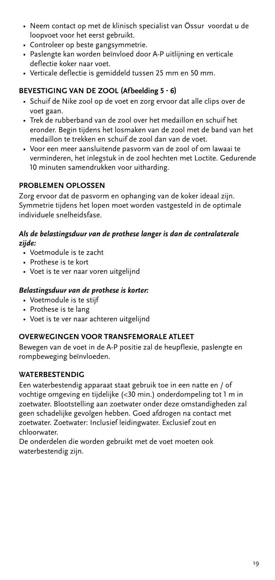- Neem contact op met de klinisch specialist van Össur voordat u de loopvoet voor het eerst gebruikt.
- Controleer op beste gangsymmetrie.
- Paslengte kan worden beïnvloed door A-P uitlijning en verticale deflectie koker naar voet.
- Verticale deflectie is gemiddeld tussen 25 mm en 50 mm.

#### **BEVESTIGING VAN DE ZOOL (Afbeelding 5 - 6)**

- Schuif de Nike zool op de voet en zorg ervoor dat alle clips over de voet gaan.
- Trek de rubberband van de zool over het medaillon en schuif het eronder. Begin tijdens het losmaken van de zool met de band van het medaillon te trekken en schuif de zool dan van de voet.
- Voor een meer aansluitende pasvorm van de zool of om lawaai te verminderen, het inlegstuk in de zool hechten met Loctite. Gedurende 10 minuten samendrukken voor uitharding.

#### **PROBLEMEN OPLOSSEN**

Zorg ervoor dat de pasvorm en ophanging van de koker ideaal zijn. Symmetrie tijdens het lopen moet worden vastgesteld in de optimale individuele snelheidsfase.

#### *Als de belastingsduur van de prothese langer is dan de contralaterale zijde:*

- Voetmodule is te zacht
- Prothese is te kort
- Voet is te ver naar voren uitgelijnd

#### *Belastingsduur van de prothese is korter:*

- Voetmodule is te stijf
- Prothese is te lang
- Voet is te ver naar achteren uitgelijnd

#### **OVERWEGINGEN VOOR TRANSFEMORALE ATLEET**

Bewegen van de voet in de A-P positie zal de heupflexie, paslengte en rompbeweging beïnvloeden.

#### **WATERBESTENDIG**

Een waterbestendig apparaat staat gebruik toe in een natte en / of vochtige omgeving en tijdelijke (<30 min.) onderdompeling tot 1 m in zoetwater. Blootstelling aan zoetwater onder deze omstandigheden zal geen schadelijke gevolgen hebben. Goed afdrogen na contact met zoetwater. Zoetwater: Inclusief leidingwater. Exclusief zout en chloorwater.

De onderdelen die worden gebruikt met de voet moeten ook waterbestendig zijn.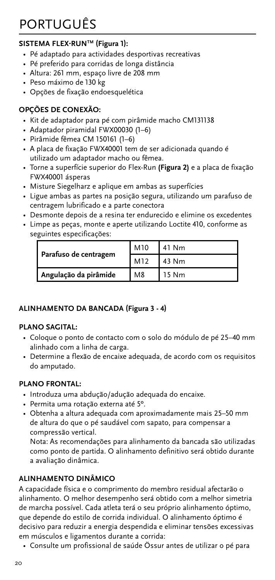# <span id="page-19-0"></span>PORTUGUÊS

## **SISTEMA FLEX-RUNTM (Figura 1):**

- Pé adaptado para actividades desportivas recreativas
- Pé preferido para corridas de longa distância
- Altura: 261 mm, espaço livre de 208 mm
- Peso máximo de 130 kg
- Opções de fixação endoesquelética

#### **OPÇÕES DE CONEXÃO:**

- Kit de adaptador para pé com pirâmide macho CM131138
- Adaptador piramidal FWX00030 (1–6)
- Pirâmide fêmea CM 150161 (1–6)
- A placa de fixação FWX40001 tem de ser adicionada quando é utilizado um adaptador macho ou fêmea.
- Torne a superfície superior do Flex-Run **(Figura 2)** e a placa de fixação FWX40001 ásperas
- Misture Siegelharz e aplique em ambas as superfícies
- Ligue ambas as partes na posição segura, utilizando um parafuso de centragem lubrificado e a parte conectora
- Desmonte depois de a resina ter endurecido e elimine os excedentes
- Limpe as peças, monte e aperte utilizando Loctite 410, conforme as seguintes especificações:

|                       | M10 | 41 Nm |
|-----------------------|-----|-------|
| Parafuso de centragem | M12 | 43 Nm |
| Angulação da pirâmide | M8  | 15 Nm |

#### **ALINHAMENTO DA BANCADA (Figura 3 - 4)**

#### **PLANO SAGITAL:**

- Coloque o ponto de contacto com o solo do módulo de pé 25–40 mm alinhado com a linha de carga.
- Determine a flexão de encaixe adequada, de acordo com os requisitos do amputado.

### **PLANO FRONTAL:**

- Introduza uma abdução/adução adequada do encaixe.
- Permita uma rotação externa até 5º.
- Obtenha a altura adequada com aproximadamente mais 25–50 mm de altura do que o pé saudável com sapato, para compensar a compressão vertical.

Nota: As recomendações para alinhamento da bancada são utilizadas como ponto de partida. O alinhamento definitivo será obtido durante a avaliação dinâmica.

## **ALINHAMENTO DINÂMICO**

A capacidade física e o comprimento do membro residual afectarão o alinhamento. O melhor desempenho será obtido com a melhor simetria de marcha possível. Cada atleta terá o seu próprio alinhamento óptimo, que depende do estilo de corrida individual. O alinhamento óptimo é decisivo para reduzir a energia despendida e eliminar tensões excessivas em músculos e ligamentos durante a corrida:

• Consulte um profissional de saúde Össur antes de utilizar o pé para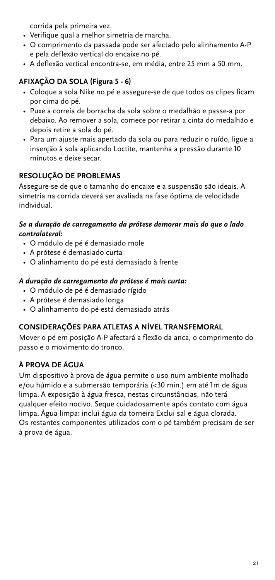corrida pela primeira vez.

- Verifique qual a melhor simetria de marcha.
- O comprimento da passada pode ser afectado pelo alinhamento A-P e pela deflexão vertical do encaixe no pé.
- A deflexão vertical encontra-se, em média, entre 25 mm a 50 mm.

## **AFIXAÇÃO DA SOLA (Figura 5 - 6)**

- Coloque a sola Nike no pé e assegure-se de que todos os clipes ficam por cima do pé.
- Puxe a correia de borracha da sola sobre o medalhão e passe-a por debaixo. Ao remover a sola, comece por retirar a cinta do medalhão e depois retire a sola do pé.
- Para um ajuste mais apertado da sola ou para reduzir o ruído, ligue a inserção à sola aplicando Loctite, mantenha a pressão durante 10 minutos e deixe secar.

#### **RESOLUÇÃO DE PROBLEMAS**

Assegure-se de que o tamanho do encaixe e a suspensão são ideais. A simetria na corrida deverá ser avaliada na fase óptima de velocidade individual.

#### *Se a duração de carregamento da prótese demorar mais do que o lado contralateral:*

- O módulo de pé é demasiado mole
- A prótese é demasiado curta
- O alinhamento do pé está demasiado à frente

#### *A duração de carregamento da prótese é mais curta:*

- O módulo de pé é demasiado rígido
- A prótese é demasiado longa
- O alinhamento do pé está demasiado atrás

#### **CONSIDERAÇÕES PARA ATLETAS A NÍVEL TRANSFEMORAL**

Mover o pé em posição A-P afectará a flexão da anca, o comprimento do passo e o movimento do tronco.

#### **À PROVA DE ÁGUA**

Um dispositivo à prova de água permite o uso num ambiente molhado e/ou húmido e a submersão temporária (<30 min.) em até 1m de água limpa. A exposição à água fresca, nestas circunstâncias, não terá qualquer efeito nocivo. Seque cuidadosamente após contato com água limpa. Água limpa: inclui água da torneira Exclui sal e água clorada. Os restantes componentes utilizados com o pé também precisam de ser à prova de água.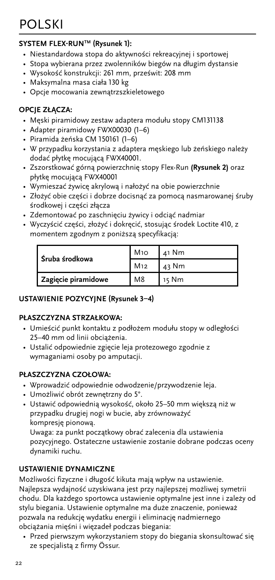# <span id="page-21-0"></span>POLSKI

#### **SYSTEM FLEX-RUNTM (Rysunek 1):**

- Niestandardowa stopa do aktywności rekreacyjnej i sportowej
- Stopa wybierana przez zwolenników biegów na długim dystansie
- Wysokość konstrukcji: 261 mm, prześwit: 208 mm
- Maksymalna masa ciała 130 kg
- Opcje mocowania zewnątrzszkieletowego

#### **OPCJE ZŁĄCZA:**

- Męski piramidowy zestaw adaptera modułu stopy CM131138
- Adapter piramidowy FWX00030 (1–6)
- Piramida żeńska CM 150161 (1–6)
- W przypadku korzystania z adaptera męskiego lub żeńskiego należy dodać płytkę mocującą FWX40001.
- Zszorstkować górną powierzchnię stopy Flex-Run **(Rysunek 2)** oraz płytkę mocującą FWX40001
- Wymieszać żywicę akrylową i nałożyć na obie powierzchnie
- Złożyć obie części i dobrze docisnąć za pomocą nasmarowanej śruby środkowej i części złącza
- Zdemontować po zaschnięciu żywicy i odciąć nadmiar
- Wyczyścić części, złożyć i dokręcić, stosując środek Loctite 410, z momentem zgodnym z poniższą specyfikacją:

| l Śruba środkowa    | M10             | $41$ Nm |
|---------------------|-----------------|---------|
|                     | M <sub>12</sub> | 43 Nm   |
| Zagięcie piramidowe | M <sub>8</sub>  | 15 Nm   |

#### **USTAWIENIE POZYCYJNE (Rysunek 3–4)**

#### **PŁASZCZYZNA STRZAŁKOWA:**

- Umieścić punkt kontaktu z podłożem modułu stopy w odległości 25–40 mm od linii obciążenia.
- Ustalić odpowiednie zgięcie leja protezowego zgodnie z wymaganiami osoby po amputacji.

#### **PŁASZCZYZNA CZOŁOWA:**

- Wprowadzić odpowiednie odwodzenie/przywodzenie leja.
- Umożliwić obrót zewnętrzny do 5°.
- Ustawić odpowiednią wysokość, około 25–50 mm większą niż w przypadku drugiej nogi w bucie, aby zrównoważyć kompresję pionową.

Uwaga: za punkt początkowy obrać zalecenia dla ustawienia pozycyjnego. Ostateczne ustawienie zostanie dobrane podczas oceny dynamiki ruchu.

#### **USTAWIENIE DYNAMICZNE**

Możliwości fizyczne i długość kikuta mają wpływ na ustawienie. Najlepsza wydajność uzyskiwana jest przy najlepszej możliwej symetrii chodu. Dla każdego sportowca ustawienie optymalne jest inne i zależy od stylu biegania. Ustawienie optymalne ma duże znaczenie, ponieważ pozwala na redukcję wydatku energii i eliminację nadmiernego obciążania mięśni i więzadeł podczas biegania:

• Przed pierwszym wykorzystaniem stopy do biegania skonsultować się ze specjalistą z firmy Össur.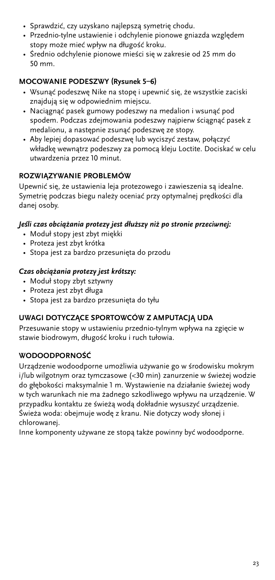- Sprawdzić, czy uzyskano najlepszą symetrię chodu.
- Przednio-tylne ustawienie i odchylenie pionowe gniazda względem stopy może mieć wpływ na długość kroku.
- Średnio odchylenie pionowe mieści się w zakresie od 25 mm do 50 mm.

### **MOCOWANIE PODESZWY (Rysunek 5–6)**

- Wsunąć podeszwę Nike na stopę i upewnić się, że wszystkie zaciski znajdują się w odpowiednim miejscu.
- Naciągnąć pasek gumowy podeszwy na medalion i wsunąć pod spodem. Podczas zdejmowania podeszwy najpierw ściągnąć pasek z medalionu, a następnie zsunąć podeszwę ze stopy.
- Aby lepiej dopasować podeszwę lub wyciszyć zestaw, połączyć wkładkę wewnątrz podeszwy za pomocą kleju Loctite. Dociskać w celu utwardzenia przez 10 minut.

### **ROZWIĄZYWANIE PROBLEMÓW**

Upewnić się, że ustawienia leja protezowego i zawieszenia są idealne. Symetrię podczas biegu należy oceniać przy optymalnej prędkości dla danej osoby.

#### *Jeśli czas obciążania protezy jest dłuższy niż po stronie przeciwnej:*

- Moduł stopy jest zbyt miękki
- Proteza jest zbyt krótka
- Stopa jest za bardzo przesunięta do przodu

#### *Czas obciążania protezy jest krótszy:*

- Moduł stopy zbyt sztywny
- Proteza jest zbyt długa
- Stopa jest za bardzo przesunięta do tyłu

#### **UWAGI DOTYCZĄCE SPORTOWCÓW Z AMPUTACJĄ UDA**

Przesuwanie stopy w ustawieniu przednio-tylnym wpływa na zgięcie w stawie biodrowym, długość kroku i ruch tułowia.

#### **WODOODPORNOŚĆ**

Urządzenie wodoodporne umożliwia używanie go w środowisku mokrym i/lub wilgotnym oraz tymczasowe (<30 min) zanurzenie w świeżej wodzie do głębokości maksymalnie 1 m. Wystawienie na działanie świeżej wody w tych warunkach nie ma żadnego szkodliwego wpływu na urządzenie. W przypadku kontaktu ze świeżą wodą dokładnie wysuszyć urządzenie. Świeża woda: obejmuje wodę z kranu. Nie dotyczy wody słonej i chlorowanej.

Inne komponenty używane ze stopą także powinny być wodoodporne.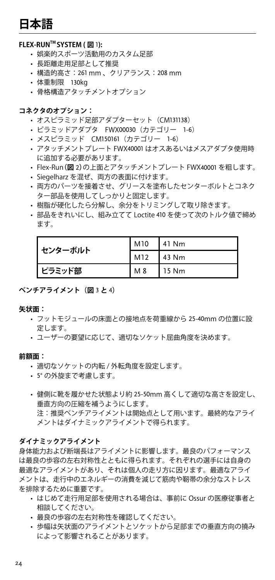# <span id="page-23-0"></span>**日本語**

#### **FLEX-RUNTM SYSTEM ( 図** 1**):**

- 娯楽的スポーツ活動用のカスタム足部
- • 長距離走用足部として推奨
- • 構造的高さ:261 mm 、クリアランス:208 mm
- 体重制限 130kg
- 骨格構造アタッチメントオプション

#### **コネクタのオプション:**

- オスピラミッド足部アダプターセット (CM131138)
- • ピラミッドアダプタ FWX00030(カテゴリー 1-6)
- • メスピラミッド CM150161(カテゴリー 1-6)
- • アタッチメントプレート FWX40001 はオスあるいはメスアダプタ使用時 に追加する必要があります。
- • Flex-Run**(図** 2**)**の上面とアタッチメントプレート FWX40001 を粗します。
- Siegelharz を混ぜ、両方の表面に付けます。
- • 両方のパーツを接着させ、グリースを塗布したセンターボルトとコネク ター部品を使用してしっかりと固定します。
- • 樹脂が硬化したら分解し、余分をトリミングして取り除きます。
- 部品をきれいにし、組み立てて Loctite 410 を使って次のトルク値で締め ます。

| センターボルト | M10 | $141$ Nm |
|---------|-----|----------|
|         | M12 | $143$ Nm |
| ピラミッド部  | M 8 | 115 Nm   |

#### **ベンチアライメント(図** 3 **と** 4**)**

#### **矢状面:**

- • フットモジュールの床面との接地点を荷重線から 25-40mm の位置に設 定します。
- • ユーザーの要望に応じて、適切なソケット屈曲角度を決めます。

#### **前額面:**

- 適切なソケットの内転 / 外転角度を設定します。
- • 5° の外旋まで考慮します。
- • 健側に靴を履かせた状態より約 25-50mm 高くして適切な高さを設定し、 垂直方向の圧縮を補うようにします。 注:推奨ベンチアライメントは開始点として用います。最終的なアライ メントはダイナミックアライメントで得られます。

#### **ダイナミックアライメント**

身体能力および断端長はアライメントに影響します。最良のパフォーマンス は最良の歩容の左右対称性とともに得られます。それぞれの選手には自身の 最適なアライメントがあり、それは個人の走り方に因ります。最適なアライ メントは、走行中のエネルギーの消費を減じて筋肉や靭帯の余分なストレス を排除するために重要です。

- • はじめて走行用足部を使用される場合は、事前に Ossur の医療従事者と 相談してください。
- • 最良の歩容の左右対称性を確認してください。
- • 歩幅は矢状面のアライメントとソケットから足部までの垂直方向の撓み によって影響されることがあります。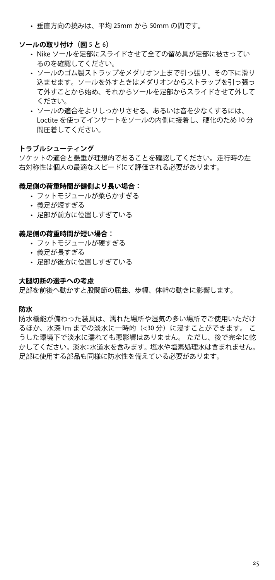• 垂直方向の撓みは、平均 25mm から 50mm の間です。

#### **ソールの取り付け(図** 5 **と** 6**)**

- • Nike ソールを足部にスライドさせて全ての留め具が足部に被さってい るのを確認してください。
- • ソールのゴム製ストラップをメダリオン上まで引っ張り、その下に滑り 込ませます。ソールを外すときはメダリオンからストラップを引っ張っ て外すことから始め、それからソールを足部からスライドさせて外して ください。
- • ソールの適合をよりしっかりさせる、あるいは音を少なくするには、 Loctite を使ってインサートをソールの内側に接着し、硬化のため 10 分 間圧着してください。

#### **トラブルシューティング**

ソケットの適合と懸垂が理想的であることを確認してください。走行時の左 右対称性は個人の最適なスピードにて評価される必要があります。

#### **義足側の荷重時間が健側より長い場合:**

- フットモジュールが柔らかすぎる
- 義足が短すぎる
- • 足部が前方に位置しすぎている

#### **義足側の荷重時間が短い場合:**

- フットモジュールが硬すぎる
- 義足が長すぎる
- 足部が後方に位置しすぎている

#### **大腿切断の選手への考慮**

足部を前後へ動かすと股関節の屈曲、歩幅、体幹の動きに影響します。

#### **防水**

防水機能が備わった装具は、濡れた場所や湿気の多い場所でご使用いただけ るほか、水深 1m までの淡水に一時的(<30 分)に浸すことができます。 こ うした環境下で淡水に濡れても悪影響はありません。 ただし、後で完全に乾 かしてください。淡水:水道水を含みます。塩水や塩素処理水は含まれません。 足部に使用する部品も同様に防水性を備えている必要があります。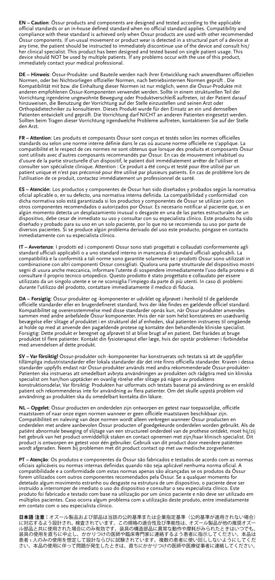**EN – Caution**: Össur products and components are designed and tested according to the applicable official standards or an in-house defined standard when no official standard applies. Compatibility and compliance with these standard is achieved only when Össur products are used with other recommended Össur components. If un-usual movement or product wear is detected in a structural part of a device at any time, the patient should be instructed to immediately discontinue use of the device and consult his/ her clinical specialist. This product has been designed and tested based on single patient usage. This device should NOT be used by multiple patients. If any problems occur with the use of this product, immediately contact your medical professional.

**DE – Hinweis**: Össur-Produkte- und Bauteile werden nach ihrer Entwicklung nach anwendbaren offiziellen Normen, oder bei Nichtvorliegen offizieller Normen, nach betriebsinternen Normen geprüft . Die Kompatibilität mit bzw. die Einhaltung dieser Normen ist nur möglich, wenn die Össur-Produkte mit anderen empfohlenen Össur-Komponenten verwendet werden. Sollte in einem strukturellen Teil der Vorrichtung irgendeine ungewohnte Bewegung oder Produktverschleiß auftreten, ist der Patient darauf hinzuweisen, die Benutzung der Vorrichtung auf der Stelle einzustellen und seinen Arzt oder Orthopädietechniker zu konsultieren. Dieses Produkt wurde für den Einsatz an ein und demselben Patienten entwickelt und geprüft. Die Vorrichtung darf NICHT an anderen Patienten eingesetzt werden. Sollten beim Tragen dieser Vorrichtung irgendwelche Probleme auftreten, kontaktieren Sie auf der Stelle den Arzt.

**FR – Attention**: Les produits et composants Össur sont conçus et testés selon les normes officielles standards ou selon une norme interne définie dans le cas où aucune norme officielle ne s'applique. La compatibilité et le respect de ces normes ne sont obtenus que lorsque des produits et composants Össur sont utilisés avec d'autres composants recommandés par Össur. En cas de mouvement inhabituel ou d'usure de la partie structurelle d'un dispositif, le patient doit immédiatement arrêter de l'utiliser et consulter son spécialiste clinique. Attention : Ce produit a été conçu et testé pour être utilisé par un patient unique et n'est pas préconisé pour être utilisé par plusieurs patients. En cas de problème lors de l'utilisation de ce produit, contactez immédiatement un professionnel de santé.

**ES – Atención**: Los productos y componentes de Össur han sido diseñados y probados según la normativa oficial aplicable o, en su defecto, una normativa interna definida. La compatibilidad y conformidad con dicha normativa solo está garantizada si los productos y componentes de Ossur se utilizan junto con<br>otros componentes recomendados o autorizados por Óssur. Es necesario notificar al paciente que, si en<br>algún momento detect dispositivo, debe cesar de inmediato su uso y consultar con su especialista clínico. Este producto ha sido diseñado y probado para su uso en un solo paciente, por lo que no se recomienda su uso por parte de diversos pacientes. Si se produce algún problema derivado del uso este producto, póngase en contacto inmediatamente con su especialista clínico.

**IT – Avvertenze**: I prodotti ed i componenti Ossur sono stati progettati e collaudati conformemente agli standard ufficiali applicabili o a uno standard interno in mancanza di standard ufficiali applicabili. La compatibilità e la conformità a tali norme sono garantite solamente se i prodotti Ossur sono utilizzati in combinazione con altri componenti Ossur consigliati. Qualora una parte strutturale del dispositivo mostri segni di usura anche meccanica, informare l'utente di sospendere immediatamente l'uso della protesi e di consultare il proprio tecnico ortopedico. Questo prodotto è stato progettato e collaudato per essere utilizzato da un singolo utente e se ne sconsiglia l'impiego da parte di più utenti. In caso di problemi durante l'utilizzo del prodotto, contattare immediatamente il medico di fiducia.

**DA – Forsigtig**: Össur produkter og -komponenter er udviklet og afprøvet i henhold til de gældende officielle standarder eller en brugerdefineret standard, hvis der ikke findes en gældende officiel standard. Kompatibilitet og overensstemmelse med disse standarder opnås kun, når Össur produkter anvendes sammen med andre anbefalede Össur komponenter. Hvis der når som helst konstateres en usædvanlig bevægelse eller slitage af produktet i en strukturel del af enheden, skal patienten instrueres til omgående at holde op med at anvende den pagældende protese og kontakte den behandlende kliniske specialist. Forsigtig: Dette produkt er beregnet og afprøvet til at blive brugt af en patient. Det frarådes at bruge<br>produktet til flere patienter. Kontakt din fysioterapeut eller læge, hvis der opstår problemer i forbindelse<br>med anve

**SV – Var försiktig!** Össur-produkter och -komponenter har konstruerats och testats så att de uppfyller tillämpliga industristandarder eller lokala standarder där det inte finns officiella standarder. Kraven i dessa standarder uppfylls endast när Össur-produkter används med andra rekommenderade Össur-produkter-Patienten ska instrueras att omedelbart avbryta användningen av produkten och rådgöra med sin kliniska specialist om han/hon upptäcker en ovanlig rörelse eller slitage på någon av produktens<br>konstruktionsdelar, Var försiktig: Produkten har utformats och testats baserat på användning av en enskild<br>patient och rekommenderas i användning av produkten ska du omedelbart kontakta din läkare.

**NL – Opgelet**: Össur producten en onderdelen zijn ontworpen en getest naar toepasselijke, officiële maatstaven of naar onze eigen normen wanneer er geen officiële maatstaven beschikbaar zijn. Compatibiliteit en naleving van deze normen wordt alleen verkregen wanneer Össur producten en onderdelen met andere aanbevolen Össur producten of goedgekeurde onderdelen worden gebruikt. Als de patiënt abnormale beweging of slijtage van een structureel onderdeel van de prothese ontdekt, moet hij/zij het gebruik van het product onmiddellijk staken en contact opnemen met zijn/haar klinisch specialist. Dit product is ontworpen en getest voor één gebruiker. Gebruik van dit product door meerdere patiënten wordt afgeraden. Neem bij problemen met dit product contact op met uw medische zorgverlener.

**PT – Atenção**: Os produtos e componentes da Össur são fabricados e testados de acordo com as normas oficiais aplicáveis ou normas internas definidas quando não seja aplicável nenhuma norma oficial. A compatibilidade e a conformidade com estas normas apenas são alcançadas se os produtos da Össur forem utilizados com outros componentes recomendados pela Össur. Se a qualquer momento for detetado algum movimento estranho ou desgaste na estrutura de um dispositivo, o paciente deve ser instruído a interromper de imediato o uso do dispositivo e consultar o seu especialista clínico. Este produto foi fabricado e testado com base na utilização por um único paciente e não deve ser utilizado em múltiplos pacientes. Caso ocorra algum problema com a utilização deste produto, entre imediatamente em contato com o seu especialista clínico.

**日本語 注意:**オズール製品および部品は当該の公的基準または企業指定基準(公的基準が適用されない場合)<br>に対応するよう設計され、検査されています。この規格の適合性及び準拠性は、オズール製品が他の推奨オズー<br>ル部品と共に使用された場合にのみ有効です。装具の構造部品に異常な動作や摩耗がみられたときはいつでも、 装具の使用を直ちに中止し、かかりつけの医師や臨床専門家に連絡するよう患者に指示してください。本品は<br>患者 1 人のみの使用を想定して設計ならびに試験されています。複数の患者に使い回ししないようにしてくだ<br>さい。本品の使用に伴って問題が発生したときは、直ちにかかりつけの医師や医療従事者に連絡してください。